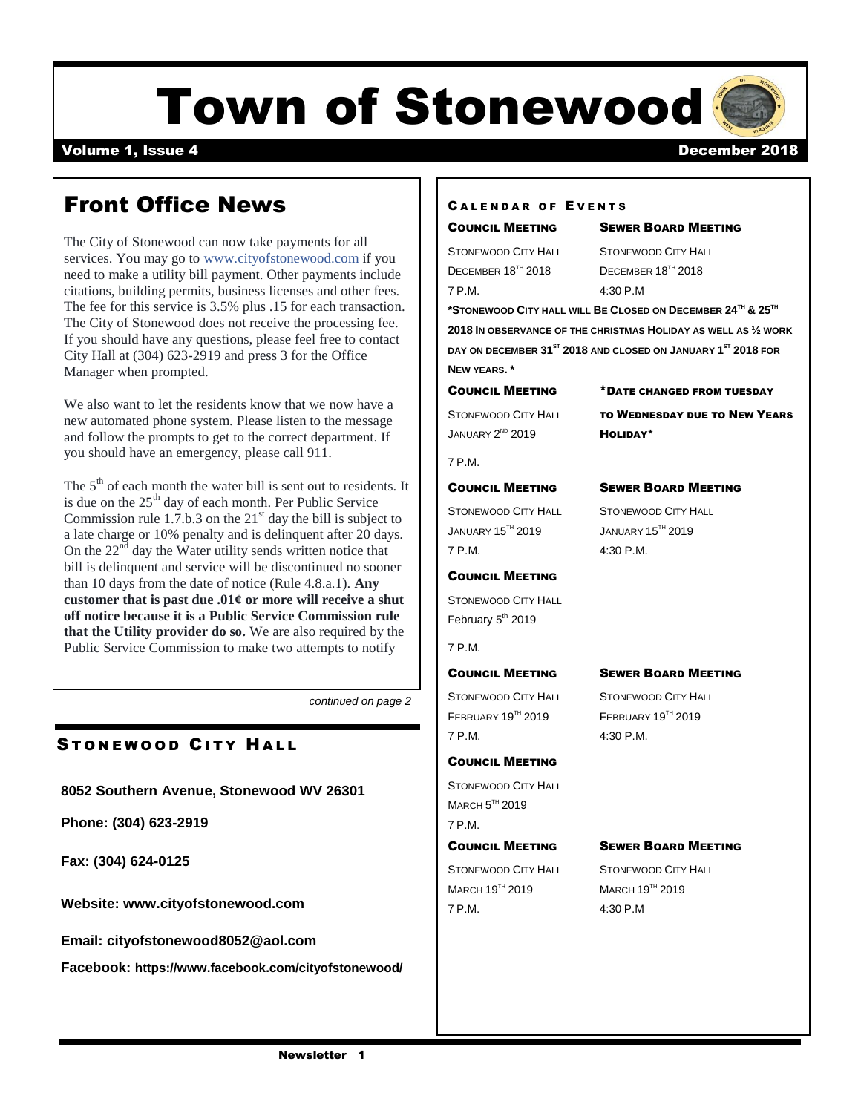# Town of Stonewood

#### Volume 1, Issue 4 December 2018

### Front Office News

The City of Stonewood can now take payments for all services. You may go to [www.cityofstonewood.com](https://l.facebook.com/l.php?u=http%3A%2F%2Fwww.cityofstonewood.com%2F%3Ffbclid%3DIwAR3yPePU5g5YpLGNW6nLNddXtTJgJZ4kdA1_LLYfS6FovmDebprnxMVEmTI&h=AT2C7bDqcCVnnXorEmqZlLkKMOQYquDUvTC9EUErWo56WBjAmr_ZdoPp9V4WN7AiDPdTIDQ2oxjV5pPvM1DNGJXf8frHqSDhnayM748Fhg_h5cj-XFP0BeTEZ2WEyl_eDd7qETHlwnzpj-5ePamFdvAPKe2mgymfJ_1uzW0nbbkYI2benIiC2h9s8qQf3c_RUl2iLqKVd4rGve-Yv2tU8VATkrveT5nonUVKWOgQtNKn9D-zvAvptEJiMhbGPk_HdsGBbtUvMbOQutWPZ_NAOBk_APEwbMdQqHzj9pqVD_dEUWfeMEt5jt1E3GIIQ9j1aH-isVLPLQRREh0hmTmOBdjZpnQ0IiPYHK1Uskkwe_NJnob9NBZgu2skuHOl4gEZXn9mW_GENppLdyHTgYd1eL7t4vpBlQA13_Uzil_NL-rhwbtfx1PuxWu29e5wxPP6fvguS5H90uJpnVX_hCSWP0g0Rx4o3jaBoIg-ASxCJ3bSaeWW_NrwAlfLUekP2hshxGNvTIEY_tTPhmfNBQHzbjOTljnDPmz7H3Hny6VGorvnn5a9DrYhOLOnLFR83rV3z3M79lc_Z3bm1G2WSMi08fDvQ4hHprSQVdGfiyUeOo4bJtSHIUxK9JfSW9fFKA) if you need to make a utility bill payment. Other payments include citations, building permits, business licenses and other fees. The fee for this service is 3.5% plus .15 for each transaction. The City of Stonewood does not receive the processing fee. If you should have any questions, please feel free to contact City Hall at (304) 623-2919 and press 3 for the Office Manager when prompted.

We also want to let the residents know that we now have a new automated phone system. Please listen to the message and follow the prompts to get to the correct department. If you should have an emergency, please call 911.

The  $5<sup>th</sup>$  of each month the water bill is sent out to residents. It is due on the  $25<sup>th</sup>$  day of each month. Per Public Service Commission rule 1.7.b.3 on the  $21<sup>st</sup>$  day the bill is subject to a late charge or 10% penalty and is delinquent after 20 days. On the  $22<sup>nd</sup>$  day the Water utility sends written notice that bill is delinquent and service will be discontinued no sooner than 10 days from the date of notice (Rule 4.8.a.1). **Any customer that is past due .01¢ or more will receive a shut off notice because it is a Public Service Commission rule that the Utility provider do so.** We are also required by the Public Service Commission to make two attempts to notify

*continued on page 2*

#### STONEWOOD CITY HALL

**8052 Southern Avenue, Stonewood WV 26301**

**Phone: (304) 623-2919**

**Fax: (304) 624-0125**

**Website: [www.cityofstonewood.com](http://www.cityofstonewood.com/)**

**Email: [cityofstonewood8052@aol.com](mailto:cityofstonewood8052@aol.com)**

**Facebook: https://www.facebook.com/cityofstonewood/**

#### CALENDAR OF EVENTS

### STONEWOOD CITY HALL STONEWOOD CITY HALL

COUNCIL MEETING SEWER BOARD MEETING

DECEMBER 18<sup>TH</sup> 2018 DECEMBER 18<sup>TH</sup> 2018 7 P.M. 4:30 P.M

**\*STONEWOOD CITY HALL WILL BE CLOSED ON DECEMBER 24TH & 25TH 2018 IN OBSERVANCE OF THE CHRISTMAS HOLIDAY AS WELL AS ½ WORK DAY ON DECEMBER 31ST 2018 AND CLOSED ON JANUARY 1 ST 2018 FOR NEW YEARS. \***

COUNCIL MEETING \*DATE CHANGED FROM TUESDAY

**JANUARY 2ND 2019** 

STONEWOOD CITY HALL **TO WEDNESDAY DUE TO NEW YEARS** HOLIDAY\*

#### COUNCIL MEETING SEWER BOARD MEETING

7 P.M.

STONEWOOD CITY HALL STONEWOOD CITY HALL JANUARY 15TH 2019 JANUARY 15TH 2019 7 P.M. 4:30 P.M.

#### COUNCIL MEETING

STONEWOOD CITY HALL February 5<sup>th</sup> 2019

#### 7 P.M.

STONEWOOD CITY HALL STONEWOOD CITY HALL FEBRUARY 19<sup>TH</sup> 2019 **FEBRUARY 19TH** 2019 7 P.M. 4:30 P.M.

COUNCIL MEETING STONEWOOD CITY HALL

 $M$ ARCH  $5$ <sup>TH</sup> 2019

7 P.M.

#### COUNCIL MEETING SEWER BOARD MEETING

#### COUNCIL MEETING SEWER BOARD MEETING

STONEWOOD CITY HALL STONEWOOD CITY HALL  $MARCH 19<sup>TH</sup> 2019$  MARCH  $19<sup>TH</sup> 2019$ 7 P.M. 4:30 P.M

 $A_{\rm eff}$  materials:  $P_{\rm eff}$  or  $P_{\rm eff}$  or  $P_{\rm eff}$  or  $P_{\rm eff}$  or  $P_{\rm eff}$  or  $P_{\rm eff}$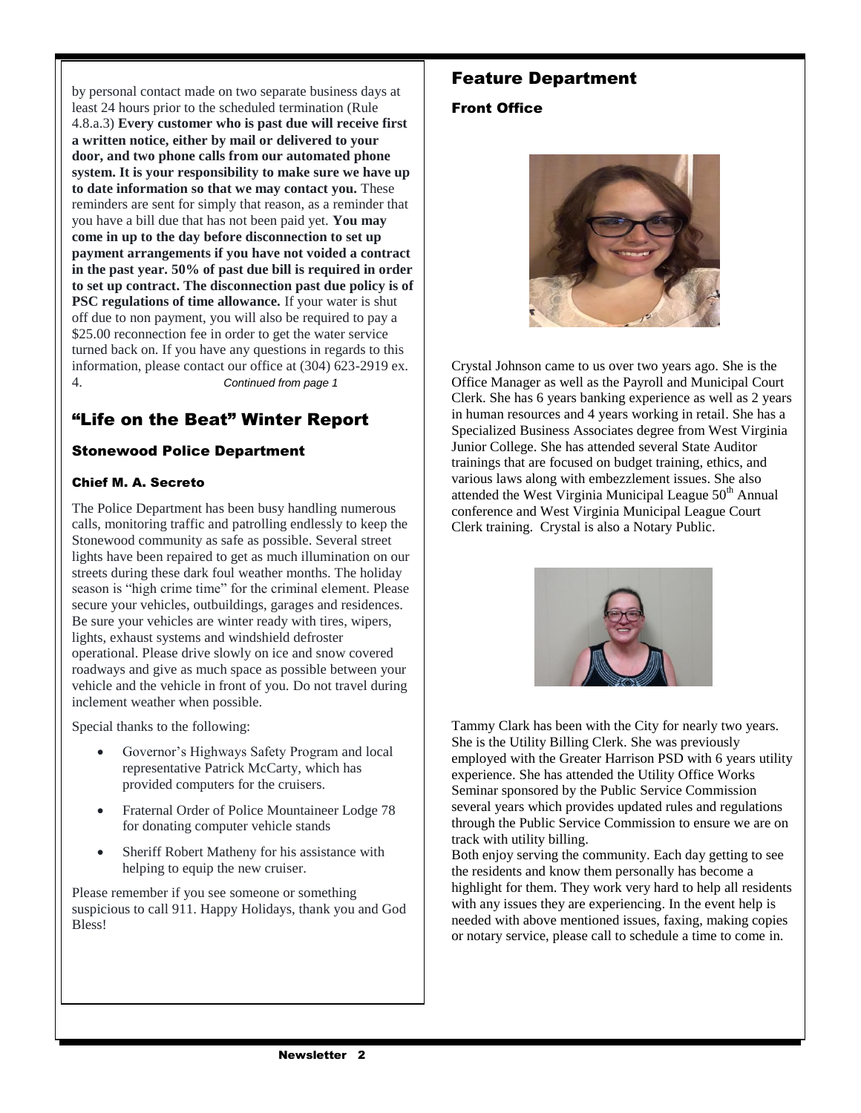by personal contact made on two separate business days at least 24 hours prior to the scheduled termination (Rule 4.8.a.3) **Every customer who is past due will receive first a written notice, either by mail or delivered to your door, and two phone calls from our automated phone system. It is your responsibility to make sure we have up to date information so that we may contact you.** These reminders are sent for simply that reason, as a reminder that you have a bill due that has not been paid yet. **You may come in up to the day before disconnection to set up payment arrangements if you have not voided a contract in the past year. 50% of past due bill is required in order to set up contract. The disconnection past due policy is of PSC regulations of time allowance.** If your water is shut off due to non payment, you will also be required to pay a \$25.00 reconnection fee in order to get the water service turned back on. If you have any questions in regards to this information, please contact our office at (304) 623-2919 ex. 4. *Continued from page 1*

#### "Life on the Beat" Winter Report

#### Stonewood Police Department

#### Chief M. A. Secreto

The Police Department has been busy handling numerous calls, monitoring traffic and patrolling endlessly to keep the Stonewood community as safe as possible. Several street lights have been repaired to get as much illumination on our streets during these dark foul weather months. The holiday season is "high crime time" for the criminal element. Please secure your vehicles, outbuildings, garages and residences. Be sure your vehicles are winter ready with tires, wipers, lights, exhaust systems and windshield defroster operational. Please drive slowly on ice and snow covered roadways and give as much space as possible between your vehicle and the vehicle in front of you. Do not travel during inclement weather when possible.

Special thanks to the following:

- Governor's Highways Safety Program and local representative Patrick McCarty, which has provided computers for the cruisers.
- Fraternal Order of Police Mountaineer Lodge 78 for donating computer vehicle stands
- Sheriff Robert Matheny for his assistance with helping to equip the new cruiser.

Please remember if you see someone or something suspicious to call 911. Happy Holidays, thank you and God Bless!

#### Feature Department

#### Front Office



Crystal Johnson came to us over two years ago. She is the Office Manager as well as the Payroll and Municipal Court Clerk. She has 6 years banking experience as well as 2 years in human resources and 4 years working in retail. She has a Specialized Business Associates degree from West Virginia Junior College. She has attended several State Auditor trainings that are focused on budget training, ethics, and various laws along with embezzlement issues. She also attended the West Virginia Municipal League 50<sup>th</sup> Annual conference and West Virginia Municipal League Court Clerk training. Crystal is also a Notary Public.



Tammy Clark has been with the City for nearly two years. She is the Utility Billing Clerk. She was previously employed with the Greater Harrison PSD with 6 years utility experience. She has attended the Utility Office Works Seminar sponsored by the Public Service Commission several years which provides updated rules and regulations through the Public Service Commission to ensure we are on track with utility billing.

Both enjoy serving the community. Each day getting to see the residents and know them personally has become a highlight for them. They work very hard to help all residents with any issues they are experiencing. In the event help is needed with above mentioned issues, faxing, making copies or notary service, please call to schedule a time to come in.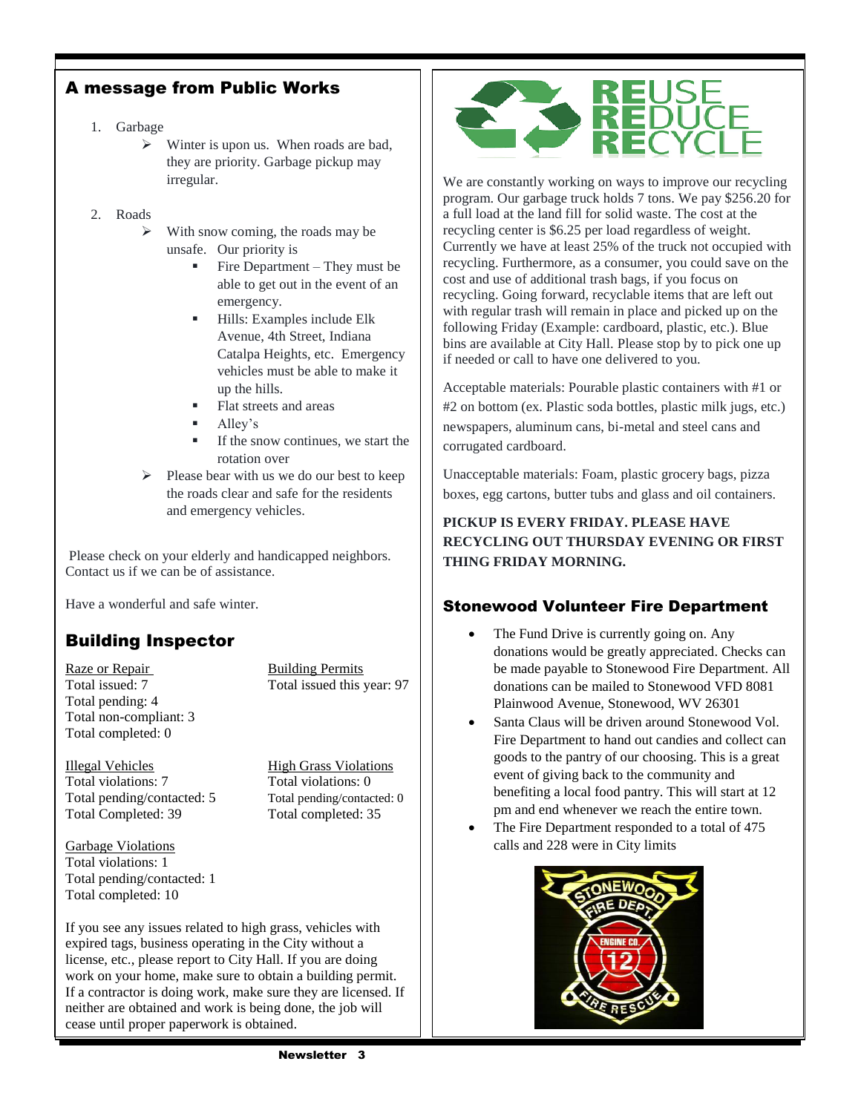#### A message from Public Works

- 1. Garbage
	- $\triangleright$  Winter is upon us. When roads are bad, they are priority. Garbage pickup may irregular.
- 2. Roads
	- $\triangleright$  With snow coming, the roads may be unsafe. Our priority is
		- Fire Department They must be able to get out in the event of an emergency.
		- Hills: Examples include Elk Avenue, 4th Street, Indiana Catalpa Heights, etc. Emergency vehicles must be able to make it up the hills.
		- Flat streets and areas
		- Alley's
		- If the snow continues, we start the rotation over
	- $\triangleright$  Please bear with us we do our best to keep the roads clear and safe for the residents and emergency vehicles.

Please check on your elderly and handicapped neighbors. Contact us if we can be of assistance.

Have a wonderful and safe winter.

#### Building Inspector

Raze or Repair Building Permits Total pending: 4 Total non-compliant: 3 Total completed: 0

Total issued: 7 Total issued this year: 97

Illegal Vehicles High Grass Violations Total violations: 7 Total violations: 0 Total pending/contacted: 5 Total pending/contacted: 0 Total Completed: 39 Total completed: 35

Garbage Violations Total violations: 1 Total pending/contacted: 1 Total completed: 10

If you see any issues related to high grass, vehicles with expired tags, business operating in the City without a license, etc., please report to City Hall. If you are doing work on your home, make sure to obtain a building permit. If a contractor is doing work, make sure they are licensed. If neither are obtained and work is being done, the job will cease until proper paperwork is obtained.



We are constantly working on ways to improve our recycling program. Our garbage truck holds 7 tons. We pay \$256.20 for a full load at the land fill for solid waste. The cost at the recycling center is \$6.25 per load regardless of weight. Currently we have at least 25% of the truck not occupied with recycling. Furthermore, as a consumer, you could save on the cost and use of additional trash bags, if you focus on recycling. Going forward, recyclable items that are left out with regular trash will remain in place and picked up on the following Friday (Example: cardboard, plastic, etc.). Blue bins are available at City Hall. Please stop by to pick one up if needed or call to have one delivered to you.

Acceptable materials: Pourable plastic containers with #1 or #2 on bottom (ex. Plastic soda bottles, plastic milk jugs, etc.) newspapers, aluminum cans, bi-metal and steel cans and corrugated cardboard.

Unacceptable materials: Foam, plastic grocery bags, pizza boxes, egg cartons, butter tubs and glass and oil containers.

#### **PICKUP IS EVERY FRIDAY. PLEASE HAVE RECYCLING OUT THURSDAY EVENING OR FIRST THING FRIDAY MORNING.**

#### Stonewood Volunteer Fire Department

- The Fund Drive is currently going on. Any donations would be greatly appreciated. Checks can be made payable to Stonewood Fire Department. All donations can be mailed to Stonewood VFD 8081 Plainwood Avenue, Stonewood, WV 26301
- Santa Claus will be driven around Stonewood Vol. Fire Department to hand out candies and collect can goods to the pantry of our choosing. This is a great event of giving back to the community and benefiting a local food pantry. This will start at 12 pm and end whenever we reach the entire town.
- The Fire Department responded to a total of 475 calls and 228 were in City limits

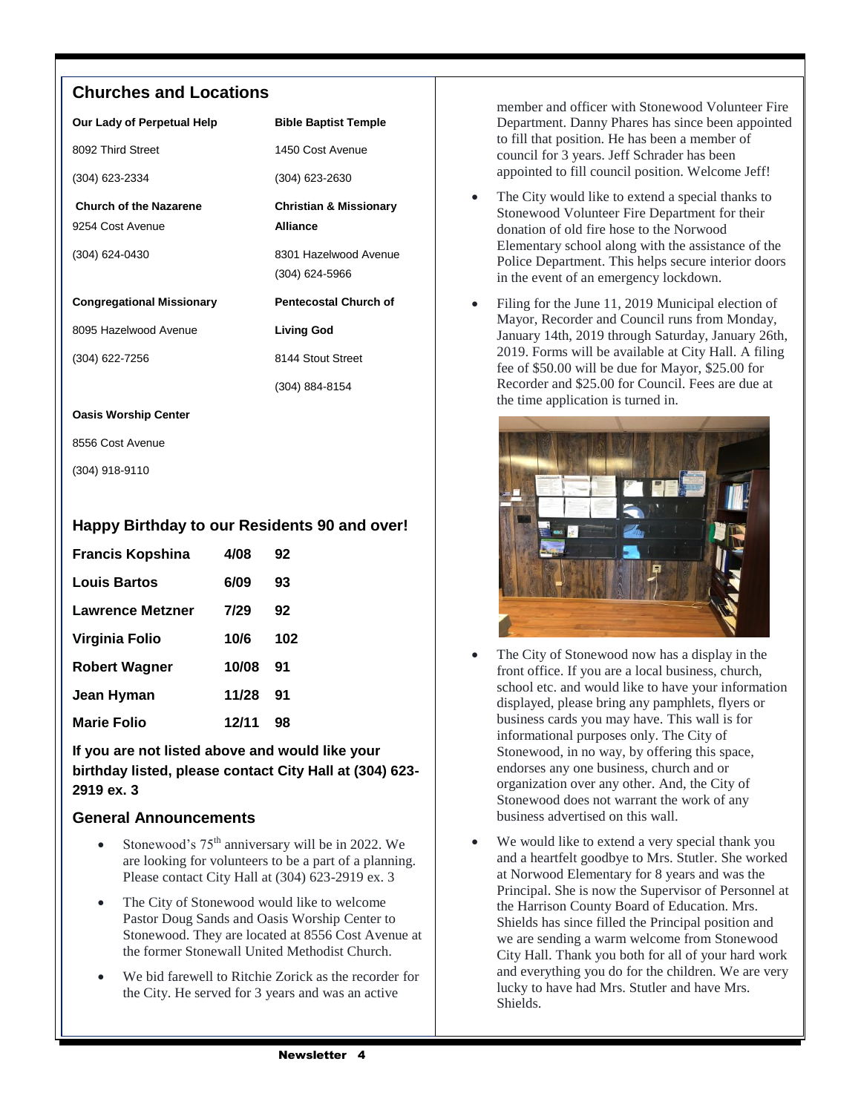#### **Churches and Locations**

| Our Lady of Perpetual Help       | <b>Bible Baptist Temple</b>       |  |
|----------------------------------|-----------------------------------|--|
| 8092 Third Street                | 1450 Cost Avenue                  |  |
| (304) 623-2334                   | (304) 623-2630                    |  |
| <b>Church of the Nazarene</b>    | <b>Christian &amp; Missionary</b> |  |
| 9254 Cost Avenue                 | <b>Alliance</b>                   |  |
| (304) 624-0430                   | 8301 Hazelwood Avenue             |  |
|                                  | $(304)$ 624-5966                  |  |
| <b>Congregational Missionary</b> | <b>Pentecostal Church of</b>      |  |
| 8095 Hazelwood Avenue            | <b>Living God</b>                 |  |
| (304) 622-7256                   | 8144 Stout Street                 |  |
|                                  | (304) 884-8154                    |  |
| <b>Oasis Worship Center</b>      |                                   |  |

8556 Cost Avenue

(304) 918-9110

#### **Happy Birthday to our Residents 90 and over!**

| <b>Francis Kopshina</b> | 4/08  | 92  |
|-------------------------|-------|-----|
| Louis Bartos            | 6/09  | 93  |
| Lawrence Metzner        | 7/29  | 92  |
| Virginia Folio          | 10/6  | 102 |
| <b>Robert Wagner</b>    | 10/08 | 91  |
| Jean Hyman              | 11/28 | 91  |
| <b>Marie Folio</b>      | 12/11 | 98  |

**If you are not listed above and would like your birthday listed, please contact City Hall at (304) 623- 2919 ex. 3**

#### **General Announcements**

- Stonewood's  $75<sup>th</sup>$  anniversary will be in 2022. We are looking for volunteers to be a part of a planning. Please contact City Hall at (304) 623-2919 ex. 3
- The City of Stonewood would like to welcome Pastor Doug Sands and Oasis Worship Center to Stonewood. They are located at 8556 Cost Avenue at the former Stonewall United Methodist Church.
- We bid farewell to Ritchie Zorick as the recorder for the City. He served for 3 years and was an active

member and officer with Stonewood Volunteer Fire Department. Danny Phares has since been appointed to fill that position. He has been a member of council for 3 years. Jeff Schrader has been appointed to fill council position. Welcome Jeff!

- The City would like to extend a special thanks to Stonewood Volunteer Fire Department for their donation of old fire hose to the Norwood Elementary school along with the assistance of the Police Department. This helps secure interior doors in the event of an emergency lockdown.
- Filing for the June 11, 2019 Municipal election of Mayor, Recorder and Council runs from Monday, January 14th, 2019 through Saturday, January 26th, 2019. Forms will be available at City Hall. A filing fee of \$50.00 will be due for Mayor, \$25.00 for Recorder and \$25.00 for Council. Fees are due at the time application is turned in.



- The City of Stonewood now has a display in the front office. If you are a local business, church, school etc. and would like to have your information displayed, please bring any pamphlets, flyers or business cards you may have. This wall is for informational purposes only. The City of Stonewood, in no way, by offering this space, endorses any one business, church and or organization over any other. And, the City of Stonewood does not warrant the work of any business advertised on this wall.
- We would like to extend a very special thank you and a heartfelt goodbye to Mrs. Stutler. She worked at Norwood Elementary for 8 years and was the Principal. She is now the Supervisor of Personnel at the Harrison County Board of Education. Mrs. Shields has since filled the Principal position and we are sending a warm welcome from Stonewood City Hall. Thank you both for all of your hard work and everything you do for the children. We are very lucky to have had Mrs. Stutler and have Mrs. **Shields**.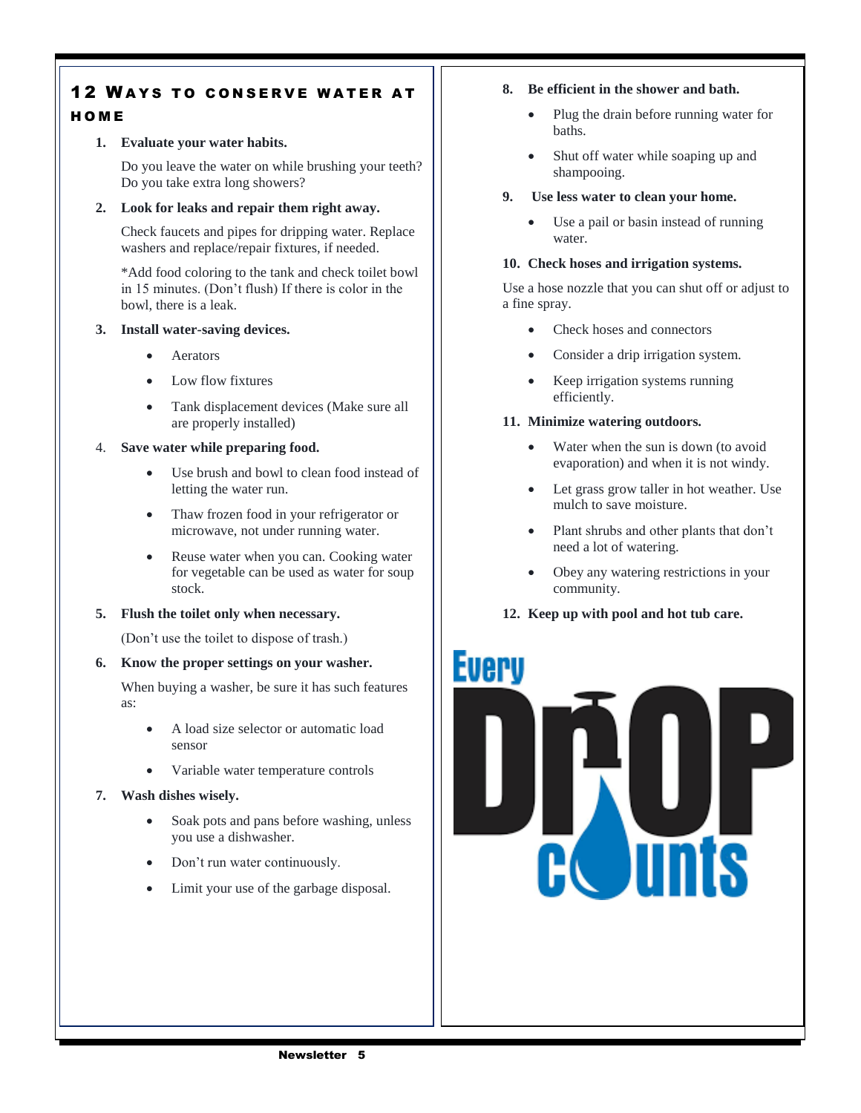#### **12 WAYS TO CONSERVE WATER AT** H O M E

#### **1. Evaluate your water habits.**

Do you leave the water on while brushing your teeth? Do you take extra long showers?

#### **2. Look for leaks and repair them right away.**

Check faucets and pipes for dripping water. Replace washers and replace/repair fixtures, if needed.

\*Add food coloring to the tank and check toilet bowl in 15 minutes. (Don't flush) If there is color in the bowl, there is a leak.

#### **3. Install water-saving devices.**

- Aerators
- Low flow fixtures
- Tank displacement devices (Make sure all are properly installed)

#### 4. **Save water while preparing food.**

- Use brush and bowl to clean food instead of letting the water run.
- Thaw frozen food in your refrigerator or microwave, not under running water.
- Reuse water when you can. Cooking water for vegetable can be used as water for soup stock.

#### **5. Flush the toilet only when necessary.**

(Don't use the toilet to dispose of trash.)

#### **6. Know the proper settings on your washer.**

When buying a washer, be sure it has such features as:

- A load size selector or automatic load sensor
- Variable water temperature controls

#### **7. Wash dishes wisely.**

- Soak pots and pans before washing, unless you use a dishwasher.
- Don't run water continuously.
- Limit your use of the garbage disposal.

#### **8. Be efficient in the shower and bath.**

- Plug the drain before running water for baths.
- Shut off water while soaping up and shampooing.
- **9. Use less water to clean your home.**
	- Use a pail or basin instead of running water.

#### **10. Check hoses and irrigation systems.**

Use a hose nozzle that you can shut off or adjust to a fine spray.

- Check hoses and connectors
- Consider a drip irrigation system.
- Keep irrigation systems running efficiently.

#### **11. Minimize watering outdoors.**

- Water when the sun is down (to avoid evaporation) and when it is not windy.
- Let grass grow taller in hot weather. Use mulch to save moisture.
- Plant shrubs and other plants that don't need a lot of watering.
- Obey any watering restrictions in your community.
- **12. Keep up with pool and hot tub care.**